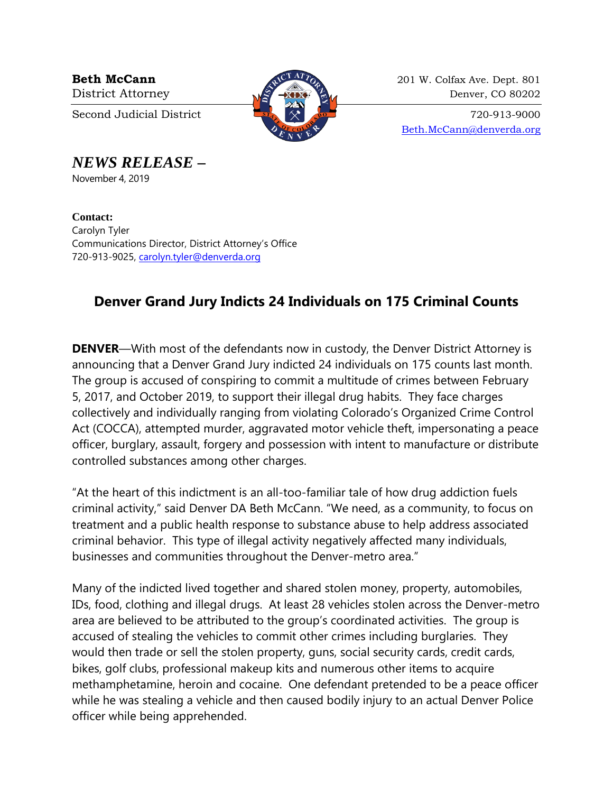

**Beth McCann** 201 W. Colfax Ave. Dept. 801 District Attorney  $\sqrt{2}$   $\sqrt{2}$   $\sqrt{2}$  Denver, CO 80202

Second Judicial District  $\begin{array}{c} \boxed{37} \\ \times \end{array}$   $\begin{array}{c} \times \\ \times \end{array}$  720-913-9000 [Beth.McCann@denverda.org](mailto:Beth.McCann@denverda.org)

*NEWS RELEASE* **–**

November 4, 2019

**Contact:**  Carolyn Tyler Communications Director, District Attorney's Office 720-913-9025, [carolyn.tyler@denverda.org](mailto:carolyn.tyler@denverda.org)

## **Denver Grand Jury Indicts 24 Individuals on 175 Criminal Counts**

**DENVER**—With most of the defendants now in custody, the Denver District Attorney is announcing that a Denver Grand Jury indicted 24 individuals on 175 counts last month. The group is accused of conspiring to commit a multitude of crimes between February 5, 2017, and October 2019, to support their illegal drug habits. They face charges collectively and individually ranging from violating Colorado's Organized Crime Control Act (COCCA), attempted murder, aggravated motor vehicle theft, impersonating a peace officer, burglary, assault, forgery and possession with intent to manufacture or distribute controlled substances among other charges.

"At the heart of this indictment is an all-too-familiar tale of how drug addiction fuels criminal activity," said Denver DA Beth McCann. "We need, as a community, to focus on treatment and a public health response to substance abuse to help address associated criminal behavior. This type of illegal activity negatively affected many individuals, businesses and communities throughout the Denver-metro area."

Many of the indicted lived together and shared stolen money, property, automobiles, IDs, food, clothing and illegal drugs. At least 28 vehicles stolen across the Denver-metro area are believed to be attributed to the group's coordinated activities. The group is accused of stealing the vehicles to commit other crimes including burglaries. They would then trade or sell the stolen property, guns, social security cards, credit cards, bikes, golf clubs, professional makeup kits and numerous other items to acquire methamphetamine, heroin and cocaine. One defendant pretended to be a peace officer while he was stealing a vehicle and then caused bodily injury to an actual Denver Police officer while being apprehended.